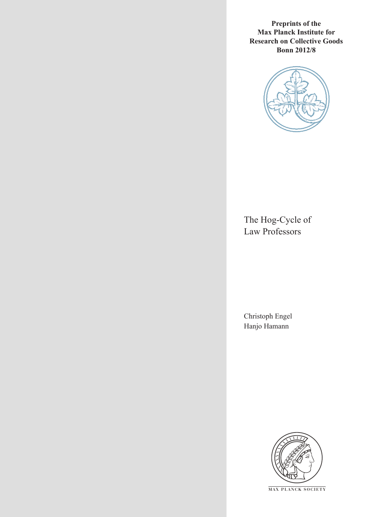**Preprints of the Max Planck Institute for Research on Collective Goods Bonn 2012/8**



The Hog-Cycle of Law Professors

Christoph Engel Hanjo Hamann



**M AX PLANCK SOCIETY**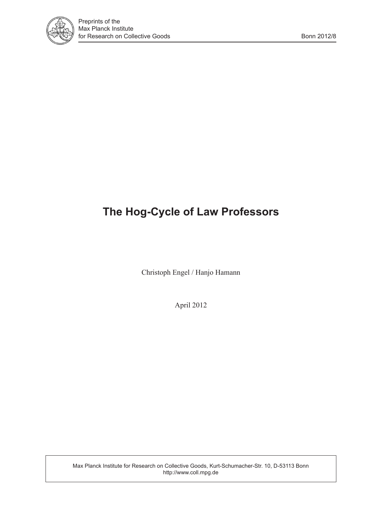

# **The Hog-Cycle of Law Professors**

Christoph Engel / Hanjo Hamann

April 2012

Max Planck Institute for Research on Collective Goods, Kurt-Schumacher-Str. 10, D-53113 Bonn http://www.coll.mpg.de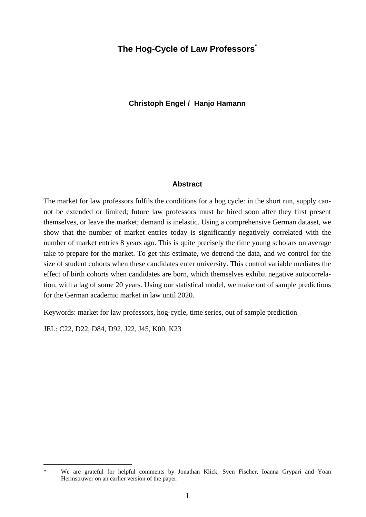# **The Hog-Cycle of Law Professors<sup>\*</sup>**

#### **Christoph Engel / Hanjo Hamann**

#### **Abstract**

The market for law professors fulfils the conditions for a hog cycle: in the short run, supply cannot be extended or limited; future law professors must be hired soon after they first present themselves, or leave the market; demand is inelastic. Using a comprehensive German dataset, we show that the number of market entries today is significantly negatively correlated with the number of market entries 8 years ago. This is quite precisely the time young scholars on average take to prepare for the market. To get this estimate, we detrend the data, and we control for the size of student cohorts when these candidates enter university. This control variable mediates the effect of birth cohorts when candidates are born, which themselves exhibit negative autocorrelation, with a lag of some 20 years. Using our statistical model, we make out of sample predictions for the German academic market in law until 2020.

Keywords: market for law professors, hog-cycle, time series, out of sample prediction

JEL: C22, D22, D84, D92, J22, J45, K00, K23

-

We are grateful for helpful comments by Jonathan Klick, Sven Fischer, Ioanna Grypari and Yoan Hermstrüwer on an earlier version of the paper.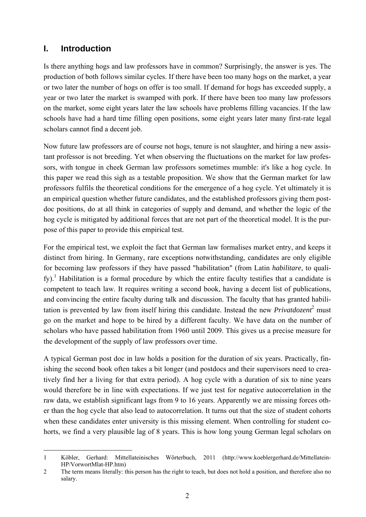# **I. Introduction**

Is there anything hogs and law professors have in common? Surprisingly, the answer is yes. The production of both follows similar cycles. If there have been too many hogs on the market, a year or two later the number of hogs on offer is too small. If demand for hogs has exceeded supply, a year or two later the market is swamped with pork. If there have been too many law professors on the market, some eight years later the law schools have problems filling vacancies. If the law schools have had a hard time filling open positions, some eight years later many first-rate legal scholars cannot find a decent job.

Now future law professors are of course not hogs, tenure is not slaughter, and hiring a new assistant professor is not breeding. Yet when observing the fluctuations on the market for law professors, with tongue in cheek German law professors sometimes mumble: it's like a hog cycle. In this paper we read this sigh as a testable proposition. We show that the German market for law professors fulfils the theoretical conditions for the emergence of a hog cycle. Yet ultimately it is an empirical question whether future candidates, and the established professors giving them postdoc positions, do at all think in categories of supply and demand, and whether the logic of the hog cycle is mitigated by additional forces that are not part of the theoretical model. It is the purpose of this paper to provide this empirical test.

For the empirical test, we exploit the fact that German law formalises market entry, and keeps it distinct from hiring. In Germany, rare exceptions notwithstanding, candidates are only eligible for becoming law professors if they have passed "habilitation" (from Latin *habilitare*, to qualify).<sup>1</sup> Habilitation is a formal procedure by which the entire faculty testifies that a candidate is competent to teach law. It requires writing a second book, having a decent list of publications, and convincing the entire faculty during talk and discussion. The faculty that has granted habilitation is prevented by law from itself hiring this candidate. Instead the new  $Privatdozen<sup>2</sup>$  must go on the market and hope to be hired by a different faculty. We have data on the number of scholars who have passed habilitation from 1960 until 2009. This gives us a precise measure for the development of the supply of law professors over time.

A typical German post doc in law holds a position for the duration of six years. Practically, finishing the second book often takes a bit longer (and postdocs and their supervisors need to creatively find her a living for that extra period). A hog cycle with a duration of six to nine years would therefore be in line with expectations. If we just test for negative autocorrelation in the raw data, we establish significant lags from 9 to 16 years. Apparently we are missing forces other than the hog cycle that also lead to autocorrelation. It turns out that the size of student cohorts when these candidates enter university is this missing element. When controlling for student cohorts, we find a very plausible lag of 8 years. This is how long young German legal scholars on

<sup>-</sup>1 Köbler, Gerhard: Mittellateinisches Wörterbuch, 2011 (http://www.koeblergerhard.de/Mittellatein-HP/VorwortMlat-HP.htm)

<sup>2</sup> The term means literally: this person has the right to teach, but does not hold a position, and therefore also no salary.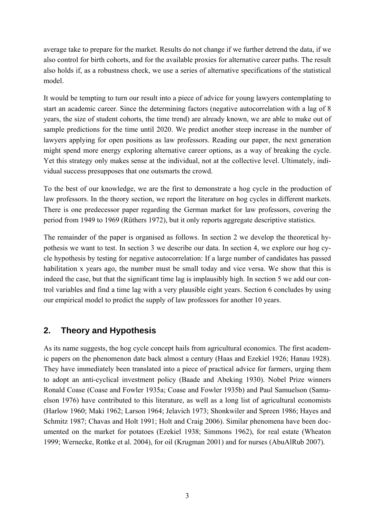average take to prepare for the market. Results do not change if we further detrend the data, if we also control for birth cohorts, and for the available proxies for alternative career paths. The result also holds if, as a robustness check, we use a series of alternative specifications of the statistical model.

It would be tempting to turn our result into a piece of advice for young lawyers contemplating to start an academic career. Since the determining factors (negative autocorrelation with a lag of 8 years, the size of student cohorts, the time trend) are already known, we are able to make out of sample predictions for the time until 2020. We predict another steep increase in the number of lawyers applying for open positions as law professors. Reading our paper, the next generation might spend more energy exploring alternative career options, as a way of breaking the cycle. Yet this strategy only makes sense at the individual, not at the collective level. Ultimately, individual success presupposes that one outsmarts the crowd.

To the best of our knowledge, we are the first to demonstrate a hog cycle in the production of law professors. In the theory section, we report the literature on hog cycles in different markets. There is one predecessor paper regarding the German market for law professors, covering the period from 1949 to 1969 (Rüthers 1972), but it only reports aggregate descriptive statistics.

The remainder of the paper is organised as follows. In section 2 we develop the theoretical hypothesis we want to test. In section 3 we describe our data. In section 4, we explore our hog cycle hypothesis by testing for negative autocorrelation: If a large number of candidates has passed habilitation x years ago, the number must be small today and vice versa. We show that this is indeed the case, but that the significant time lag is implausibly high. In section 5 we add our control variables and find a time lag with a very plausible eight years. Section 6 concludes by using our empirical model to predict the supply of law professors for another 10 years.

# **2. Theory and Hypothesis**

As its name suggests, the hog cycle concept hails from agricultural economics. The first academic papers on the phenomenon date back almost a century (Haas and Ezekiel 1926; Hanau 1928). They have immediately been translated into a piece of practical advice for farmers, urging them to adopt an anti-cyclical investment policy (Baade and Abeking 1930). Nobel Prize winners Ronald Coase (Coase and Fowler 1935a; Coase and Fowler 1935b) and Paul Samuelson (Samuelson 1976) have contributed to this literature, as well as a long list of agricultural economists (Harlow 1960; Maki 1962; Larson 1964; Jelavich 1973; Shonkwiler and Spreen 1986; Hayes and Schmitz 1987; Chavas and Holt 1991; Holt and Craig 2006). Similar phenomena have been documented on the market for potatoes (Ezekiel 1938; Simmons 1962), for real estate (Wheaton 1999; Wernecke, Rottke et al. 2004), for oil (Krugman 2001) and for nurses (AbuAlRub 2007).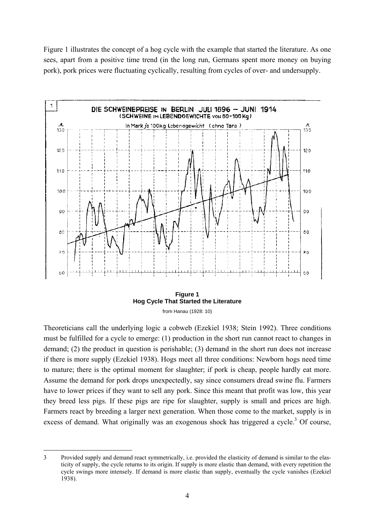Figure 1 illustrates the concept of a hog cycle with the example that started the literature. As one sees, apart from a positive time trend (in the long run, Germans spent more money on buying pork), pork prices were fluctuating cyclically, resulting from cycles of over- and undersupply.



**Figure 1 Hog Cycle That Started the Literature**  from Hanau (1928: 10)

Theoreticians call the underlying logic a cobweb (Ezekiel 1938; Stein 1992). Three conditions must be fulfilled for a cycle to emerge: (1) production in the short run cannot react to changes in demand; (2) the product in question is perishable; (3) demand in the short run does not increase if there is more supply (Ezekiel 1938). Hogs meet all three conditions: Newborn hogs need time to mature; there is the optimal moment for slaughter; if pork is cheap, people hardly eat more. Assume the demand for pork drops unexpectedly, say since consumers dread swine flu. Farmers have to lower prices if they want to sell any pork. Since this meant that profit was low, this year they breed less pigs. If these pigs are ripe for slaughter, supply is small and prices are high. Farmers react by breeding a larger next generation. When those come to the market, supply is in excess of demand. What originally was an exogenous shock has triggered a cycle.<sup>3</sup> Of course,

<sup>-</sup>3 Provided supply and demand react symmetrically, i.e. provided the elasticity of demand is similar to the elasticity of supply, the cycle returns to its origin. If supply is more elastic than demand, with every repetition the cycle swings more intensely. If demand is more elastic than supply, eventually the cycle vanishes (Ezekiel 1938).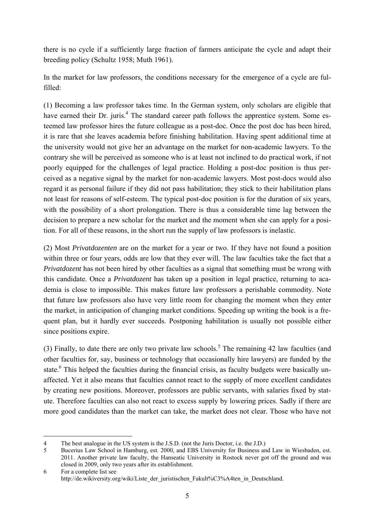there is no cycle if a sufficiently large fraction of farmers anticipate the cycle and adapt their breeding policy (Schultz 1958; Muth 1961).

In the market for law professors, the conditions necessary for the emergence of a cycle are fulfilled:

(1) Becoming a law professor takes time. In the German system, only scholars are eligible that have earned their Dr. juris.<sup>4</sup> The standard career path follows the apprentice system. Some esteemed law professor hires the future colleague as a post-doc. Once the post doc has been hired, it is rare that she leaves academia before finishing habilitation. Having spent additional time at the university would not give her an advantage on the market for non-academic lawyers. To the contrary she will be perceived as someone who is at least not inclined to do practical work, if not poorly equipped for the challenges of legal practice. Holding a post-doc position is thus perceived as a negative signal by the market for non-academic lawyers. Most post-docs would also regard it as personal failure if they did not pass habilitation; they stick to their habilitation plans not least for reasons of self-esteem. The typical post-doc position is for the duration of six years, with the possibility of a short prolongation. There is thus a considerable time lag between the decision to prepare a new scholar for the market and the moment when she can apply for a position. For all of these reasons, in the short run the supply of law professors is inelastic.

(2) Most *Privatdozenten* are on the market for a year or two. If they have not found a position within three or four years, odds are low that they ever will. The law faculties take the fact that a *Privatdozent* has not been hired by other faculties as a signal that something must be wrong with this candidate. Once a *Privatdozent* has taken up a position in legal practice, returning to academia is close to impossible. This makes future law professors a perishable commodity. Note that future law professors also have very little room for changing the moment when they enter the market, in anticipation of changing market conditions. Speeding up writing the book is a frequent plan, but it hardly ever succeeds. Postponing habilitation is usually not possible either since positions expire.

(3) Finally, to date there are only two private law schools.<sup>5</sup> The remaining 42 law faculties (and other faculties for, say, business or technology that occasionally hire lawyers) are funded by the state.<sup>6</sup> This helped the faculties during the financial crisis, as faculty budgets were basically unaffected. Yet it also means that faculties cannot react to the supply of more excellent candidates by creating new positions. Moreover, professors are public servants, with salaries fixed by statute. Therefore faculties can also not react to excess supply by lowering prices. Sadly if there are more good candidates than the market can take, the market does not clear. Those who have not

<sup>-</sup>4 The best analogue in the US system is the J.S.D. (not the Juris Doctor, i.e. the J.D.)

<sup>5</sup> Bucerius Law School in Hamburg, est. 2000, and EBS University for Business and Law in Wiesbaden, est. 2011. Another private law faculty, the Hanseatic University in Rostock never got off the ground and was closed in 2009, only two years after its establishment.

<sup>6</sup> For a complete list see http://de.wikiversity.org/wiki/Liste\_der\_juristischen\_Fakult%C3%A4ten\_in\_Deutschland.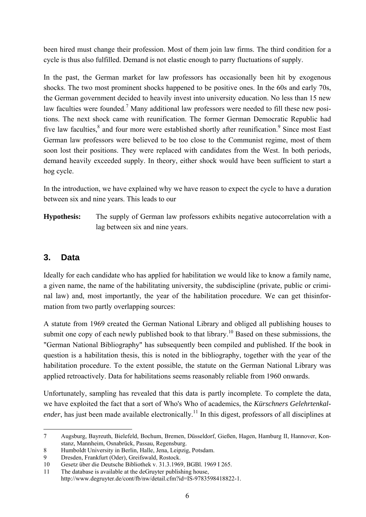been hired must change their profession. Most of them join law firms. The third condition for a cycle is thus also fulfilled. Demand is not elastic enough to parry fluctuations of supply.

In the past, the German market for law professors has occasionally been hit by exogenous shocks. The two most prominent shocks happened to be positive ones. In the 60s and early 70s, the German government decided to heavily invest into university education. No less than 15 new law faculties were founded.<sup>7</sup> Many additional law professors were needed to fill these new positions. The next shock came with reunification. The former German Democratic Republic had five law faculties,<sup>8</sup> and four more were established shortly after reunification.<sup>9</sup> Since most East German law professors were believed to be too close to the Communist regime, most of them soon lost their positions. They were replaced with candidates from the West. In both periods, demand heavily exceeded supply. In theory, either shock would have been sufficient to start a hog cycle.

In the introduction, we have explained why we have reason to expect the cycle to have a duration between six and nine years. This leads to our

**Hypothesis:** The supply of German law professors exhibits negative autocorrelation with a lag between six and nine years.

# **3. Data**

Ideally for each candidate who has applied for habilitation we would like to know a family name, a given name, the name of the habilitating university, the subdiscipline (private, public or criminal law) and, most importantly, the year of the habilitation procedure. We can get thisinformation from two partly overlapping sources:

A statute from 1969 created the German National Library and obliged all publishing houses to submit one copy of each newly published book to that library.<sup>10</sup> Based on these submissions, the "German National Bibliography" has subsequently been compiled and published. If the book in question is a habilitation thesis, this is noted in the bibliography, together with the year of the habilitation procedure. To the extent possible, the statute on the German National Library was applied retroactively. Data for habilitations seems reasonably reliable from 1960 onwards.

Unfortunately, sampling has revealed that this data is partly incomplete. To complete the data, we have exploited the fact that a sort of Who's Who of academics, the *Kürschners Gelehrtenkalender*, has just been made available electronically.<sup>11</sup> In this digest, professors of all disciplines at

<sup>-</sup>7 Augsburg, Bayreuth, Bielefeld, Bochum, Bremen, Düsseldorf, Gießen, Hagen, Hamburg II, Hannover, Konstanz, Mannheim, Osnabrück, Passau, Regensburg.

<sup>8</sup> Humboldt University in Berlin, Halle, Jena, Leipzig, Potsdam.

<sup>9</sup> Dresden, Frankfurt (Oder), Greifswald, Rostock.

<sup>10</sup> Gesetz über die Deutsche Bibliothek v. 31.3.1969, BGBl. 1969 I 265.

<sup>11</sup> The database is available at the deGruyter publishing house, http://www.degruyter.de/cont/fb/nw/detail.cfm?id=IS-9783598418822-1.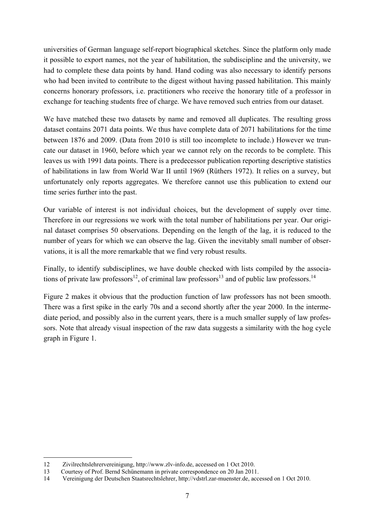universities of German language self-report biographical sketches. Since the platform only made it possible to export names, not the year of habilitation, the subdiscipline and the university, we had to complete these data points by hand. Hand coding was also necessary to identify persons who had been invited to contribute to the digest without having passed habilitation. This mainly concerns honorary professors, i.e. practitioners who receive the honorary title of a professor in exchange for teaching students free of charge. We have removed such entries from our dataset.

We have matched these two datasets by name and removed all duplicates. The resulting gross dataset contains 2071 data points. We thus have complete data of 2071 habilitations for the time between 1876 and 2009. (Data from 2010 is still too incomplete to include.) However we truncate our dataset in 1960, before which year we cannot rely on the records to be complete. This leaves us with 1991 data points. There is a predecessor publication reporting descriptive statistics of habilitations in law from World War II until 1969 (Rüthers 1972). It relies on a survey, but unfortunately only reports aggregates. We therefore cannot use this publication to extend our time series further into the past.

Our variable of interest is not individual choices, but the development of supply over time. Therefore in our regressions we work with the total number of habilitations per year. Our original dataset comprises 50 observations. Depending on the length of the lag, it is reduced to the number of years for which we can observe the lag. Given the inevitably small number of observations, it is all the more remarkable that we find very robust results.

Finally, to identify subdisciplines, we have double checked with lists compiled by the associations of private law professors<sup>12</sup>, of criminal law professors<sup>13</sup> and of public law professors.<sup>14</sup>

Figure 2 makes it obvious that the production function of law professors has not been smooth. There was a first spike in the early 70s and a second shortly after the year 2000. In the intermediate period, and possibly also in the current years, there is a much smaller supply of law professors. Note that already visual inspection of the raw data suggests a similarity with the hog cycle graph in Figure 1.

-

<sup>12</sup> Zivilrechtslehrervereinigung, http://www.zlv-info.de, accessed on 1 Oct 2010.

<sup>13</sup> Courtesy of Prof. Bernd Schünemann in private correspondence on 20 Jan 2011.

<sup>14</sup> Vereinigung der Deutschen Staatsrechtslehrer, http://vdstrl.zar-muenster.de, accessed on 1 Oct 2010.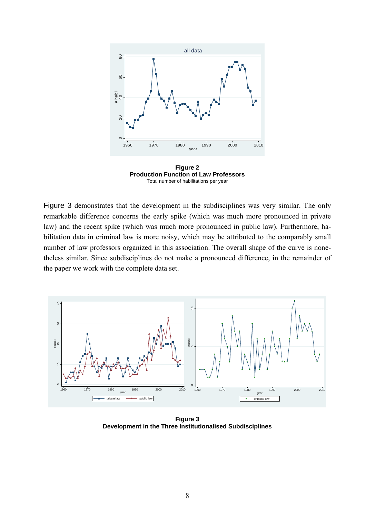

**Figure 2 Production Function of Law Professors**  Total number of habilitations per year

Figure 3 demonstrates that the development in the subdisciplines was very similar. The only remarkable difference concerns the early spike (which was much more pronounced in private law) and the recent spike (which was much more pronounced in public law). Furthermore, habilitation data in criminal law is more noisy, which may be attributed to the comparably small number of law professors organized in this association. The overall shape of the curve is nonetheless similar. Since subdisciplines do not make a pronounced difference, in the remainder of the paper we work with the complete data set.



**Figure 3 Development in the Three Institutionalised Subdisciplines**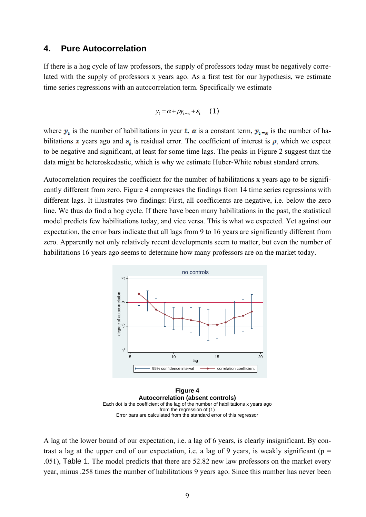#### **4. Pure Autocorrelation**

If there is a hog cycle of law professors, the supply of professors today must be negatively correlated with the supply of professors x years ago. As a first test for our hypothesis, we estimate time series regressions with an autocorrelation term. Specifically we estimate

$$
y_t = \alpha + \rho y_{t-x} + \varepsilon_t \qquad (1)
$$

where  $y_i$  is the number of habilitations in year t, a is a constant term,  $y_i = x$  is the number of habilitations x years ago and  $\varepsilon_t$  is residual error. The coefficient of interest is  $\mu$ , which we expect to be negative and significant, at least for some time lags. The peaks in Figure 2 suggest that the data might be heteroskedastic, which is why we estimate Huber-White robust standard errors.

Autocorrelation requires the coefficient for the number of habilitations x years ago to be significantly different from zero. Figure 4 compresses the findings from 14 time series regressions with different lags. It illustrates two findings: First, all coefficients are negative, i.e. below the zero line. We thus do find a hog cycle. If there have been many habilitations in the past, the statistical model predicts few habilitations today, and vice versa. This is what we expected. Yet against our expectation, the error bars indicate that all lags from 9 to 16 years are significantly different from zero. Apparently not only relatively recent developments seem to matter, but even the number of habilitations 16 years ago seems to determine how many professors are on the market today.



**Figure 4 Autocorrelation (absent controls)**  Each dot is the coefficient of the lag of the number of habilitations x years ago from the regression of (1) Error bars are calculated from the standard error of this regressor

A lag at the lower bound of our expectation, i.e. a lag of 6 years, is clearly insignificant. By contrast a lag at the upper end of our expectation, i.e. a lag of 9 years, is weakly significant ( $p =$ .051), Table 1. The model predicts that there are 52.82 new law professors on the market every year, minus .258 times the number of habilitations 9 years ago. Since this number has never been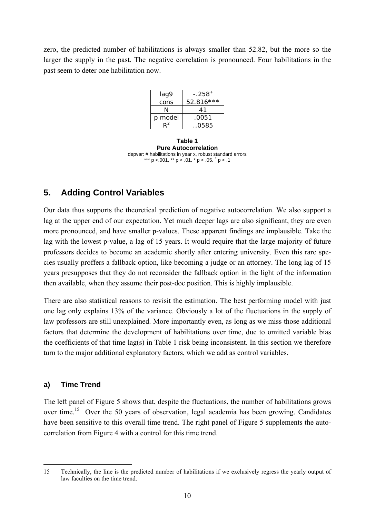zero, the predicted number of habilitations is always smaller than 52.82, but the more so the larger the supply in the past. The negative correlation is pronounced. Four habilitations in the past seem to deter one habilitation now.

| lag9    | - 258*      |  |  |
|---------|-------------|--|--|
| cons    | $52.816***$ |  |  |
|         | 41          |  |  |
| p model | .0051       |  |  |
|         | . .0585     |  |  |

**Table 1 Pure Autocorrelation**  depvar: # habilitations in year x, robust standard errors \*\*\* p <.001, \*\* p < .01, \* p < .05,  $^{\circ}$  p < .1

# **5. Adding Control Variables**

Our data thus supports the theoretical prediction of negative autocorrelation. We also support a lag at the upper end of our expectation. Yet much deeper lags are also significant, they are even more pronounced, and have smaller p-values. These apparent findings are implausible. Take the lag with the lowest p-value, a lag of 15 years. It would require that the large majority of future professors decides to become an academic shortly after entering university. Even this rare species usually proffers a fallback option, like becoming a judge or an attorney. The long lag of 15 years presupposes that they do not reconsider the fallback option in the light of the information then available, when they assume their post-doc position. This is highly implausible.

There are also statistical reasons to revisit the estimation. The best performing model with just one lag only explains 13% of the variance. Obviously a lot of the fluctuations in the supply of law professors are still unexplained. More importantly even, as long as we miss those additional factors that determine the development of habilitations over time, due to omitted variable bias the coefficients of that time lag(s) in Table 1 risk being inconsistent. In this section we therefore turn to the major additional explanatory factors, which we add as control variables.

#### **a) Time Trend**

-

The left panel of Figure 5 shows that, despite the fluctuations, the number of habilitations grows over time.<sup>15</sup> Over the 50 years of observation, legal academia has been growing. Candidates have been sensitive to this overall time trend. The right panel of Figure 5 supplements the autocorrelation from Figure 4 with a control for this time trend.

<sup>15</sup> Technically, the line is the predicted number of habilitations if we exclusively regress the yearly output of law faculties on the time trend.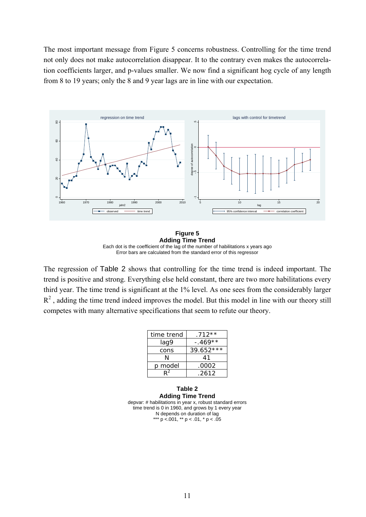The most important message from Figure 5 concerns robustness. Controlling for the time trend not only does not make autocorrelation disappear. It to the contrary even makes the autocorrelation coefficients larger, and p-values smaller. We now find a significant hog cycle of any length from 8 to 19 years; only the 8 and 9 year lags are in line with our expectation.



**Figure 5 Adding Time Trend**  Each dot is the coefficient of the lag of the number of habilitations x years ago Error bars are calculated from the standard error of this regressor

The regression of Table 2 shows that controlling for the time trend is indeed important. The trend is positive and strong. Everything else held constant, there are two more habilitations every third year. The time trend is significant at the 1% level. As one sees from the considerably larger  $R<sup>2</sup>$ , adding the time trend indeed improves the model. But this model in line with our theory still competes with many alternative specifications that seem to refute our theory.

| time trend | $.712**$    |  |  |
|------------|-------------|--|--|
| lag9       | $-.469**$   |  |  |
| cons       | $39.652***$ |  |  |
| N          | 41          |  |  |
| p model    | .0002       |  |  |
| 2ס         | .2612       |  |  |

**Table 2 Adding Time Trend**  depvar: # habilitations in year x, robust standard errors time trend is 0 in 1960, and grows by 1 every year N depends on duration of lag \*\*\* p <.001, \*\* p < .01, \* p < .05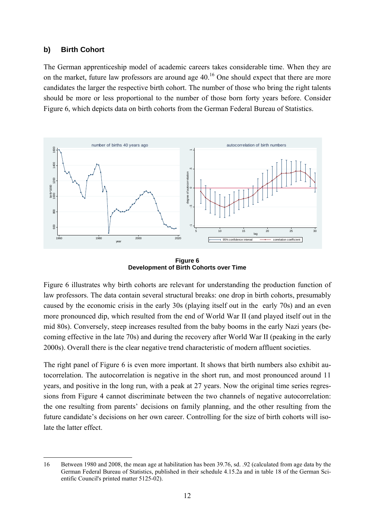#### **b) Birth Cohort**

The German apprenticeship model of academic careers takes considerable time. When they are on the market, future law professors are around age  $40<sup>16</sup>$  One should expect that there are more candidates the larger the respective birth cohort. The number of those who bring the right talents should be more or less proportional to the number of those born forty years before. Consider Figure 6, which depicts data on birth cohorts from the German Federal Bureau of Statistics.



**Figure 6 Development of Birth Cohorts over Time** 

Figure 6 illustrates why birth cohorts are relevant for understanding the production function of law professors. The data contain several structural breaks: one drop in birth cohorts, presumably caused by the economic crisis in the early 30s (playing itself out in the early 70s) and an even more pronounced dip, which resulted from the end of World War II (and played itself out in the mid 80s). Conversely, steep increases resulted from the baby booms in the early Nazi years (becoming effective in the late 70s) and during the recovery after World War II (peaking in the early 2000s). Overall there is the clear negative trend characteristic of modern affluent societies.

The right panel of Figure 6 is even more important. It shows that birth numbers also exhibit autocorrelation. The autocorrelation is negative in the short run, and most pronounced around 11 years, and positive in the long run, with a peak at 27 years. Now the original time series regressions from Figure 4 cannot discriminate between the two channels of negative autocorrelation: the one resulting from parents' decisions on family planning, and the other resulting from the future candidate's decisions on her own career. Controlling for the size of birth cohorts will isolate the latter effect.

<sup>-</sup>16 Between 1980 and 2008, the mean age at habilitation has been 39.76, sd. .92 (calculated from age data by the German Federal Bureau of Statistics, published in their schedule 4.15.2a and in table 18 of the German Scientific Council's printed matter 5125-02).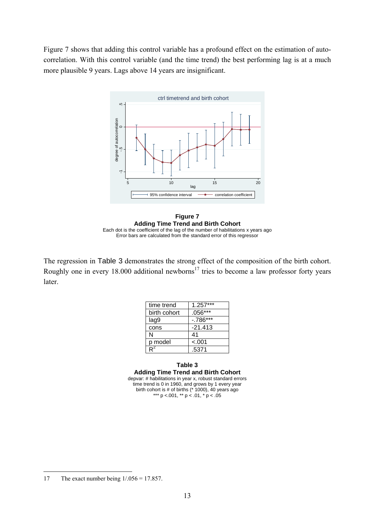Figure 7 shows that adding this control variable has a profound effect on the estimation of autocorrelation. With this control variable (and the time trend) the best performing lag is at a much more plausible 9 years. Lags above 14 years are insignificant.



**Figure 7 Adding Time Trend and Birth Cohort**  Each dot is the coefficient of the lag of the number of habilitations x years ago Error bars are calculated from the standard error of this regressor

The regression in Table 3 demonstrates the strong effect of the composition of the birth cohort. Roughly one in every  $18.000$  additional newborns<sup>17</sup> tries to become a law professor forty years later.

| time trend     | $1.257***$  |
|----------------|-------------|
| birth cohort   | $.056***$   |
| lag9           | $-0.786***$ |
| cons           | $-21.413$   |
| N              | 41          |
| p model        | $-.001$     |
| D <sup>2</sup> | .5371       |

#### **Table 3 Adding Time Trend and Birth Cohort**  depvar: # habilitations in year x, robust standard errors time trend is 0 in 1960, and grows by 1 every year birth cohort is # of births  $(* 1000)$ , 40 years ago \*\*\* p <.001, \*\* p < .01, \* p < .05

-

<sup>17</sup> The exact number being 1/.056 = 17.857.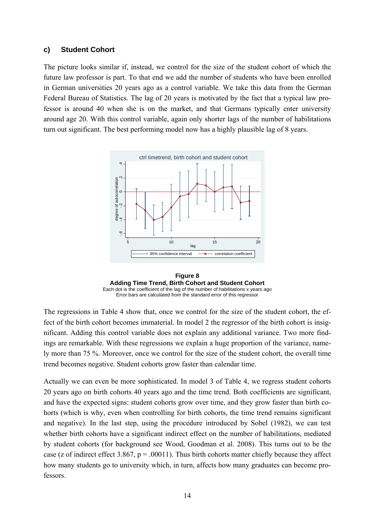#### **c) Student Cohort**

The picture looks similar if, instead, we control for the size of the student cohort of which the future law professor is part. To that end we add the number of students who have been enrolled in German universities 20 years ago as a control variable. We take this data from the German Federal Bureau of Statistics. The lag of 20 years is motivated by the fact that a typical law professor is around 40 when she is on the market, and that Germans typically enter university around age 20. With this control variable, again only shorter lags of the number of habilitations turn out significant. The best performing model now has a highly plausible lag of 8 years.



**Figure 8 Adding Time Trend, Birth Cohort and Student Cohort**  Each dot is the coefficient of the lag of the number of habilitations x years ago Error bars are calculated from the standard error of this regressor

The regressions in Table 4 show that, once we control for the size of the student cohort, the effect of the birth cohort becomes immaterial. In model 2 the regressor of the birth cohort is insignificant. Adding this control variable does not explain any additional variance. Two more findings are remarkable. With these regressions we explain a huge proportion of the variance, namely more than 75 %. Moreover, once we control for the size of the student cohort, the overall time trend becomes negative. Student cohorts grow faster than calendar time.

Actually we can even be more sophisticated. In model 3 of Table 4, we regress student cohorts 20 years ago on birth cohorts 40 years ago and the time trend. Both coefficients are significant, and have the expected signs: student cohorts grow over time, and they grow faster than birth cohorts (which is why, even when controlling for birth cohorts, the time trend remains significant and negative). In the last step, using the procedure introduced by Sobel (1982), we can test whether birth cohorts have a significant indirect effect on the number of habilitations, mediated by student cohorts (for background see Wood, Goodman et al. 2008). This turns out to be the case (z of indirect effect 3.867,  $p = .00011$ ). Thus birth cohorts matter chiefly because they affect how many students go to university which, in turn, affects how many graduates can become professors.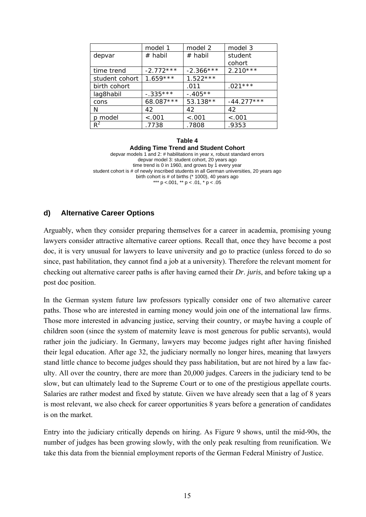|                | model 1     | model 2     | model 3      |  |
|----------------|-------------|-------------|--------------|--|
| depvar         | # habil     | $#$ habil   | student      |  |
|                |             |             | cohort       |  |
| time trend     | $-2.772***$ | $-2.366***$ | $2.210***$   |  |
| student cohort | $1.659***$  | $1.522***$  |              |  |
| birth cohort   |             | .011        | $.021***$    |  |
| lag8habil      | $-.335***$  | $-.405**$   |              |  |
| cons           | 68.087 ***  | 53.138**    | $-44.277***$ |  |
| N              | 42          | 42          | 42           |  |
| p model        | < .001      | < .001      | < .001       |  |
| $R^2$          | .7738       | .7808       | .9353        |  |

**Table 4 Adding Time Trend and Student Cohort**  depvar models 1 and 2: # habilitations in year x, robust standard errors depvar model 3: student cohort, 20 years ago time trend is 0 in 1960, and grows by 1 every year student cohort is # of newly inscribed students in all German universities, 20 years ago birth cohort is # of births (\* 1000), 40 years ago \*\*\*  $p$  <.001, \*\*  $p$  < .01, \*  $p$  < .05

#### **d) Alternative Career Options**

Arguably, when they consider preparing themselves for a career in academia, promising young lawyers consider attractive alternative career options. Recall that, once they have become a post doc, it is very unusual for lawyers to leave university and go to practice (unless forced to do so since, past habilitation, they cannot find a job at a university). Therefore the relevant moment for checking out alternative career paths is after having earned their *Dr*. *juris*, and before taking up a post doc position.

In the German system future law professors typically consider one of two alternative career paths. Those who are interested in earning money would join one of the international law firms. Those more interested in advancing justice, serving their country, or maybe having a couple of children soon (since the system of maternity leave is most generous for public servants), would rather join the judiciary. In Germany, lawyers may become judges right after having finished their legal education. After age 32, the judiciary normally no longer hires, meaning that lawyers stand little chance to become judges should they pass habilitation, but are not hired by a law faculty. All over the country, there are more than 20,000 judges. Careers in the judiciary tend to be slow, but can ultimately lead to the Supreme Court or to one of the prestigious appellate courts. Salaries are rather modest and fixed by statute. Given we have already seen that a lag of 8 years is most relevant, we also check for career opportunities 8 years before a generation of candidates is on the market.

Entry into the judiciary critically depends on hiring. As Figure 9 shows, until the mid-90s, the number of judges has been growing slowly, with the only peak resulting from reunification. We take this data from the biennial employment reports of the German Federal Ministry of Justice.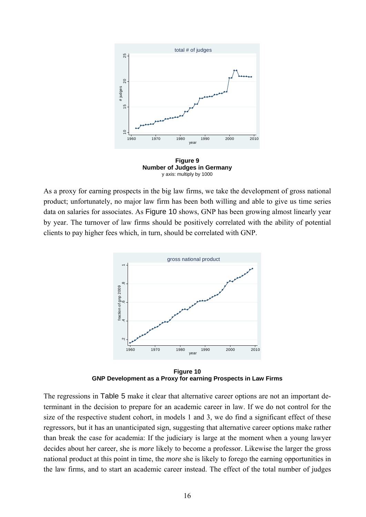

**Figure 9 Number of Judges in Germany**  y axis: multiply by 1000

As a proxy for earning prospects in the big law firms, we take the development of gross national product; unfortunately, no major law firm has been both willing and able to give us time series data on salaries for associates. As Figure 10 shows, GNP has been growing almost linearly year by year. The turnover of law firms should be positively correlated with the ability of potential clients to pay higher fees which, in turn, should be correlated with GNP.



**Figure 10 GNP Development as a Proxy for earning Prospects in Law Firms** 

The regressions in Table 5 make it clear that alternative career options are not an important determinant in the decision to prepare for an academic career in law. If we do not control for the size of the respective student cohort, in models 1 and 3, we do find a significant effect of these regressors, but it has an unanticipated sign, suggesting that alternative career options make rather than break the case for academia: If the judiciary is large at the moment when a young lawyer decides about her career, she is *more* likely to become a professor. Likewise the larger the gross national product at this point in time, the *more* she is likely to forego the earning opportunities in the law firms, and to start an academic career instead. The effect of the total number of judges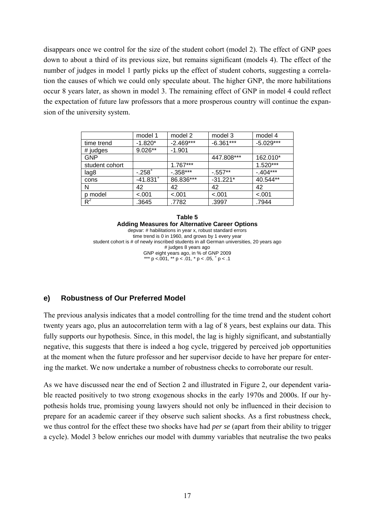disappears once we control for the size of the student cohort (model 2). The effect of GNP goes down to about a third of its previous size, but remains significant (models 4). The effect of the number of judges in model 1 partly picks up the effect of student cohorts, suggesting a correlation the causes of which we could only speculate about. The higher GNP, the more habilitations occur 8 years later, as shown in model 3. The remaining effect of GNP in model 4 could reflect the expectation of future law professors that a more prosperous country will continue the expansion of the university system.

|                | model 1                | model 2     | model 3     | model 4     |
|----------------|------------------------|-------------|-------------|-------------|
| time trend     | $-1.820*$              | $-2.469***$ | $-6.361***$ | $-5.029***$ |
| # judges       | $9.026**$              | $-1.901$    |             |             |
| <b>GNP</b>     |                        |             | 447.808***  | 162.010*    |
| student cohort |                        | $1.767***$  |             | $1.520***$  |
| lag8           | $-.258+$               | $-0.358***$ | $-0.557**$  | $-0.404***$ |
| cons           | $-41.831$ <sup>+</sup> | 86.836***   | $-31.221*$  | 40.544**    |
| N              | 42                     | 42          | 42          | 42          |
| p model        | $-.001$                | $-.001$     | $-.001$     | $-.001$     |
| $R^2$          | .3645                  | .7782       | .3997       | .7944       |

**Table 5 Adding Measures for Alternative Career Options**  depvar: # habilitations in year x, robust standard errors time trend is 0 in 1960, and grows by 1 every year student cohort is # of newly inscribed students in all German universities, 20 years ago # judges 8 years ago GNP eight years ago, in % of GNP 2009 \*\*\* p <.001, \*\* p < .01, \* p < .05,  $^{\circ}$  p < .1

#### **e) Robustness of Our Preferred Model**

The previous analysis indicates that a model controlling for the time trend and the student cohort twenty years ago, plus an autocorrelation term with a lag of 8 years, best explains our data. This fully supports our hypothesis. Since, in this model, the lag is highly significant, and substantially negative, this suggests that there is indeed a hog cycle, triggered by perceived job opportunities at the moment when the future professor and her supervisor decide to have her prepare for entering the market. We now undertake a number of robustness checks to corroborate our result.

As we have discussed near the end of Section 2 and illustrated in Figure 2, our dependent variable reacted positively to two strong exogenous shocks in the early 1970s and 2000s. If our hypothesis holds true, promising young lawyers should not only be influenced in their decision to prepare for an academic career if they observe such salient shocks. As a first robustness check, we thus control for the effect these two shocks have had *per se* (apart from their ability to trigger a cycle). Model 3 below enriches our model with dummy variables that neutralise the two peaks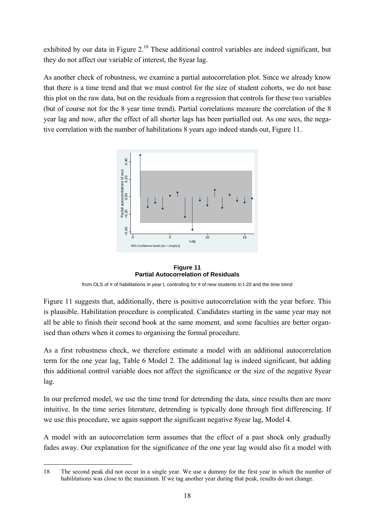exhibited by our data in Figure 2.<sup>18</sup> These additional control variables are indeed significant, but they do not affect our variable of interest, the 8year lag.

As another check of robustness, we examine a partial autocorrelation plot. Since we already know that there is a time trend and that we must control for the size of student cohorts, we do not base this plot on the raw data, but on the residuals from a regression that controls for these two variables (but of course not for the 8 year time trend). Partial correlations measure the correlation of the 8 year lag and now, after the effect of all shorter lags has been partialled out. As one sees, the negative correlation with the number of habilitations 8 years ago indeed stands out, Figure 11.



**Figure 11 Partial Autocorrelation of Residuals** 

from OLS of # of habilitations in year t, controlling for # of new students in t-20 and the time trend

Figure 11 suggests that, additionally, there is positive autocorrelation with the year before. This is plausible. Habilitation procedure is complicated. Candidates starting in the same year may not all be able to finish their second book at the same moment, and some faculties are better organised than others when it comes to organising the formal procedure.

As a first robustness check, we therefore estimate a model with an additional autocorrelation term for the one year lag, Table 6 Model 2. The additional lag is indeed significant, but adding this additional control variable does not affect the significance or the size of the negative 8year lag.

In our preferred model, we use the time trend for detrending the data, since results then are more intuitive. In the time series literature, detrending is typically done through first differencing. If we use this procedure, we again support the significant negative 8year lag, Model 4.

A model with an autocorrelation term assumes that the effect of a past shock only gradually fades away. Our explanation for the significance of the one year lag would also fit a model with

<sup>-</sup>18 The second peak did not occur in a single year. We use a dummy for the first year in which the number of habilitations was close to the maximum. If we tag another year during that peak, results do not change.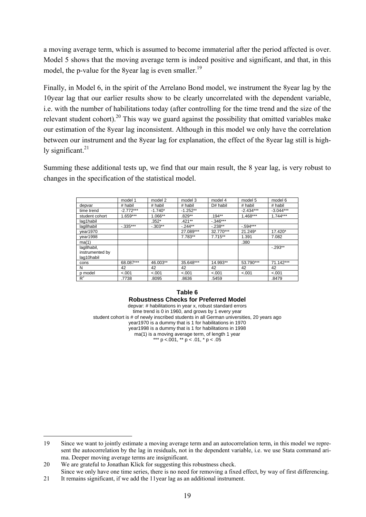a moving average term, which is assumed to become immaterial after the period affected is over. Model 5 shows that the moving average term is indeed positive and significant, and that, in this model, the p-value for the 8year lag is even smaller.<sup>19</sup>

Finally, in Model 6, in the spirit of the Arrelano Bond model, we instrument the 8year lag by the 10year lag that our earlier results show to be clearly uncorrelated with the dependent variable, i.e. with the number of habilitations today (after controlling for the time trend and the size of the relevant student cohort).<sup>20</sup> This way we guard against the possibility that omitted variables make our estimation of the 8year lag inconsistent. Although in this model we only have the correlation between our instrument and the 8year lag for explanation, the effect of the 8year lag still is highly significant. $21$ 

Summing these additional tests up, we find that our main result, the 8 year lag, is very robust to changes in the specification of the statistical model.

|                                             | model 1     | model 2   | model 3    | model 4   | model 5     | model 6     |
|---------------------------------------------|-------------|-----------|------------|-----------|-------------|-------------|
| depvar                                      | # habil     | # habil   | # habil    | D# habil  | # habil     | # habil     |
| time trend                                  | $-2.772***$ | $-1.740*$ | $-1.252**$ |           | $-2.434***$ | $-3.044***$ |
| student cohort                              | $1.659***$  | 1.066**   | .829**     | $.194**$  | $1.468***$  | $1.744***$  |
| lag1habil                                   |             | $.352*$   | $.421***$  | $-346***$ |             |             |
| lag8habil                                   | $-0.335***$ | $-.303**$ | $-244**$   | $-.238**$ | $-594***$   |             |
| year1970                                    |             |           | 27.089***  | 32.770*** | 21.249*     | 17.420*     |
| year1998                                    |             |           | 7.783**    | $7.715**$ | 1.391       | 7.082       |
| ma(1)                                       |             |           |            |           | .380        |             |
| lag8habil,<br>instrumented by<br>lag10habil |             |           |            |           |             | $-.293**$   |
| cons                                        | 68.087***   | 46.003**  | 35.648***  | 14.993**  | 53.790***   | 71.142***   |
| N                                           | 42          | 42        | 42         | 42        | 42          | 42          |
| p model                                     | $-.001$     | < .001    | < .001     | < .001    | < .001      | $-.001$     |
| $R^2$                                       | .7738       | .8095     | .8636      | .5459     |             | .8479       |

**Table 6 Robustness Checks for Preferred Model**  depvar: # habilitations in year x, robust standard errors time trend is 0 in 1960, and grows by 1 every year student cohort is # of newly inscribed students in all German universities, 20 years ago year1970 is a dummy that is 1 for habilitations in 1970 year1998 is a dummy that is 1 for habilitations in 1998 ma(1) is a moving average term, of length 1 year \*\*\* p <.001, \*\* p < .01, \* p < .05

-

<sup>19</sup> Since we want to jointly estimate a moving average term and an autocorrelation term, in this model we represent the autocorrelation by the lag in residuals, not in the dependent variable, i.e. we use Stata command arima. Deeper moving average terms are insignificant.

<sup>20</sup> We are grateful to Jonathan Klick for suggesting this robustness check.

Since we only have one time series, there is no need for removing a fixed effect, by way of first differencing.

<sup>21</sup> It remains significant, if we add the 11year lag as an additional instrument.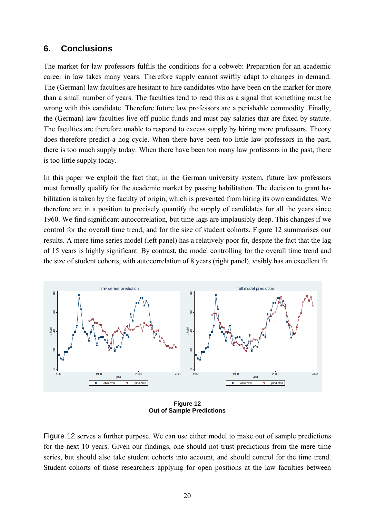### **6. Conclusions**

The market for law professors fulfils the conditions for a cobweb: Preparation for an academic career in law takes many years. Therefore supply cannot swiftly adapt to changes in demand. The (German) law faculties are hesitant to hire candidates who have been on the market for more than a small number of years. The faculties tend to read this as a signal that something must be wrong with this candidate. Therefore future law professors are a perishable commodity. Finally, the (German) law faculties live off public funds and must pay salaries that are fixed by statute. The faculties are therefore unable to respond to excess supply by hiring more professors. Theory does therefore predict a hog cycle. When there have been too little law professors in the past, there is too much supply today. When there have been too many law professors in the past, there is too little supply today.

In this paper we exploit the fact that, in the German university system, future law professors must formally qualify for the academic market by passing habilitation. The decision to grant habilitation is taken by the faculty of origin, which is prevented from hiring its own candidates. We therefore are in a position to precisely quantify the supply of candidates for all the years since 1960. We find significant autocorrelation, but time lags are implausibly deep. This changes if we control for the overall time trend, and for the size of student cohorts. Figure 12 summarises our results. A mere time series model (left panel) has a relatively poor fit, despite the fact that the lag of 15 years is highly significant. By contrast, the model controlling for the overall time trend and the size of student cohorts, with autocorrelation of 8 years (right panel), visibly has an excellent fit.



**Figure 12 Out of Sample Predictions** 

Figure 12 serves a further purpose. We can use either model to make out of sample predictions for the next 10 years. Given our findings, one should not trust predictions from the mere time series, but should also take student cohorts into account, and should control for the time trend. Student cohorts of those researchers applying for open positions at the law faculties between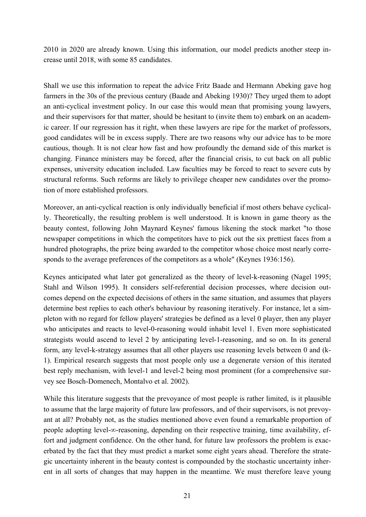2010 in 2020 are already known. Using this information, our model predicts another steep increase until 2018, with some 85 candidates.

Shall we use this information to repeat the advice Fritz Baade and Hermann Abeking gave hog farmers in the 30s of the previous century (Baade and Abeking 1930)? They urged them to adopt an anti-cyclical investment policy. In our case this would mean that promising young lawyers, and their supervisors for that matter, should be hesitant to (invite them to) embark on an academic career. If our regression has it right, when these lawyers are ripe for the market of professors, good candidates will be in excess supply. There are two reasons why our advice has to be more cautious, though. It is not clear how fast and how profoundly the demand side of this market is changing. Finance ministers may be forced, after the financial crisis, to cut back on all public expenses, university education included. Law faculties may be forced to react to severe cuts by structural reforms. Such reforms are likely to privilege cheaper new candidates over the promotion of more established professors.

Moreover, an anti-cyclical reaction is only individually beneficial if most others behave cyclically. Theoretically, the resulting problem is well understood. It is known in game theory as the beauty contest, following John Maynard Keynes' famous likening the stock market "to those newspaper competitions in which the competitors have to pick out the six prettiest faces from a hundred photographs, the prize being awarded to the competitor whose choice most nearly corresponds to the average preferences of the competitors as a whole" (Keynes 1936:156).

Keynes anticipated what later got generalized as the theory of level-k-reasoning (Nagel 1995; Stahl and Wilson 1995). It considers self-referential decision processes, where decision outcomes depend on the expected decisions of others in the same situation, and assumes that players determine best replies to each other's behaviour by reasoning iteratively. For instance, let a simpleton with no regard for fellow players' strategies be defined as a level 0 player, then any player who anticipates and reacts to level-0-reasoning would inhabit level 1. Even more sophisticated strategists would ascend to level 2 by anticipating level-1-reasoning, and so on. In its general form, any level-k-strategy assumes that all other players use reasoning levels between 0 and (k-1). Empirical research suggests that most people only use a degenerate version of this iterated best reply mechanism, with level-1 and level-2 being most prominent (for a comprehensive survey see Bosch-Domenech, Montalvo et al. 2002).

While this literature suggests that the prevoyance of most people is rather limited, is it plausible to assume that the large majority of future law professors, and of their supervisors, is not prevoyant at all? Probably not, as the studies mentioned above even found a remarkable proportion of people adopting level-∞-reasoning, depending on their respective training, time availability, effort and judgment confidence. On the other hand, for future law professors the problem is exacerbated by the fact that they must predict a market some eight years ahead. Therefore the strategic uncertainty inherent in the beauty contest is compounded by the stochastic uncertainty inherent in all sorts of changes that may happen in the meantime. We must therefore leave young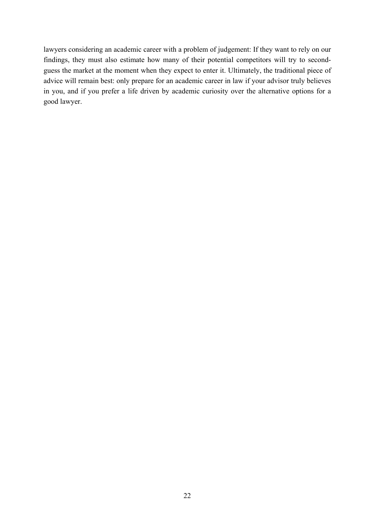lawyers considering an academic career with a problem of judgement: If they want to rely on our findings, they must also estimate how many of their potential competitors will try to secondguess the market at the moment when they expect to enter it. Ultimately, the traditional piece of advice will remain best: only prepare for an academic career in law if your advisor truly believes in you, and if you prefer a life driven by academic curiosity over the alternative options for a good lawyer.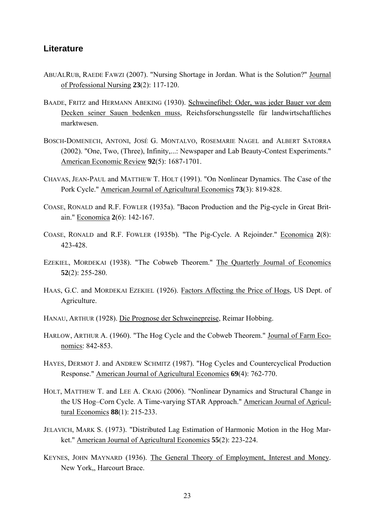#### **Literature**

- ABUALRUB, RAEDE FAWZI (2007). "Nursing Shortage in Jordan. What is the Solution?" Journal of Professional Nursing **23**(2): 117-120.
- BAADE, FRITZ and HERMANN ABEKING (1930). Schweinefibel: Oder, was jeder Bauer vor dem Decken seiner Sauen bedenken muss, Reichsforschungsstelle für landwirtschaftliches marktwesen.
- BOSCH-DOMENECH, ANTONI, JOSÉ G. MONTALVO, ROSEMARIE NAGEL and ALBERT SATORRA (2002). "One, Two, (Three), Infinity,...: Newspaper and Lab Beauty-Contest Experiments." American Economic Review **92**(5): 1687-1701.
- CHAVAS, JEAN-PAUL and MATTHEW T. HOLT (1991). "On Nonlinear Dynamics. The Case of the Pork Cycle." American Journal of Agricultural Economics **73**(3): 819-828.
- COASE, RONALD and R.F. FOWLER (1935a). "Bacon Production and the Pig-cycle in Great Britain." Economica **2**(6): 142-167.
- COASE, RONALD and R.F. FOWLER (1935b). "The Pig-Cycle. A Rejoinder." Economica **2**(8): 423-428.
- EZEKIEL, MORDEKAI (1938). "The Cobweb Theorem." The Quarterly Journal of Economics **52**(2): 255-280.
- HAAS, G.C. and MORDEKAI EZEKIEL (1926). Factors Affecting the Price of Hogs, US Dept. of Agriculture.
- HANAU, ARTHUR (1928). Die Prognose der Schweinepreise, Reimar Hobbing.
- HARLOW, ARTHUR A. (1960). "The Hog Cycle and the Cobweb Theorem." Journal of Farm Economics: 842-853.
- HAYES, DERMOT J. and ANDREW SCHMITZ (1987). "Hog Cycles and Countercyclical Production Response." American Journal of Agricultural Economics **69**(4): 762-770.
- HOLT, MATTHEW T. and LEE A. CRAIG (2006). "Nonlinear Dynamics and Structural Change in the US Hog–Corn Cycle. A Time-varying STAR Approach." American Journal of Agricultural Economics **88**(1): 215-233.
- JELAVICH, MARK S. (1973). "Distributed Lag Estimation of Harmonic Motion in the Hog Market." American Journal of Agricultural Economics **55**(2): 223-224.
- KEYNES, JOHN MAYNARD (1936). The General Theory of Employment, Interest and Money. New York,, Harcourt Brace.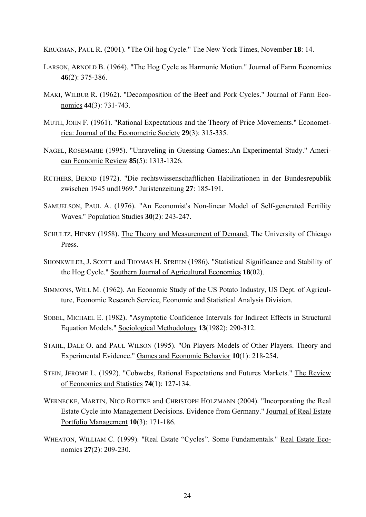KRUGMAN, PAUL R. (2001). "The Oil-hog Cycle." The New York Times, November **18**: 14.

- LARSON, ARNOLD B. (1964). "The Hog Cycle as Harmonic Motion." Journal of Farm Economics **46**(2): 375-386.
- MAKI, WILBUR R. (1962). "Decomposition of the Beef and Pork Cycles." Journal of Farm Economics **44**(3): 731-743.
- MUTH, JOHN F. (1961). "Rational Expectations and the Theory of Price Movements." Econometrica: Journal of the Econometric Society **29**(3): 315-335.
- NAGEL, ROSEMARIE (1995). "Unraveling in Guessing Games:.An Experimental Study." American Economic Review **85**(5): 1313-1326.
- RÜTHERS, BERND (1972). "Die rechtswissenschaftlichen Habilitationen in der Bundesrepublik zwischen 1945 und1969." Juristenzeitung **27**: 185-191.
- SAMUELSON, PAUL A. (1976). "An Economist's Non-linear Model of Self-generated Fertility Waves." Population Studies **30**(2): 243-247.
- SCHULTZ, HENRY (1958). The Theory and Measurement of Demand, The University of Chicago Press.
- SHONKWILER, J. SCOTT and THOMAS H. SPREEN (1986). "Statistical Significance and Stability of the Hog Cycle." Southern Journal of Agricultural Economics **18**(02).
- SIMMONS, WILL M. (1962). An Economic Study of the US Potato Industry, US Dept. of Agriculture, Economic Research Service, Economic and Statistical Analysis Division.
- SOBEL, MICHAEL E. (1982). "Asymptotic Confidence Intervals for Indirect Effects in Structural Equation Models." Sociological Methodology **13**(1982): 290-312.
- STAHL, DALE O. and PAUL WILSON (1995). "On Players Models of Other Players. Theory and Experimental Evidence." Games and Economic Behavior **10**(1): 218-254.
- STEIN, JEROME L. (1992). "Cobwebs, Rational Expectations and Futures Markets." The Review of Economics and Statistics **74**(1): 127-134.
- WERNECKE, MARTIN, NICO ROTTKE and CHRISTOPH HOLZMANN (2004). "Incorporating the Real Estate Cycle into Management Decisions. Evidence from Germany." Journal of Real Estate Portfolio Management **10**(3): 171-186.
- WHEATON, WILLIAM C. (1999). "Real Estate "Cycles". Some Fundamentals." Real Estate Economics **27**(2): 209-230.